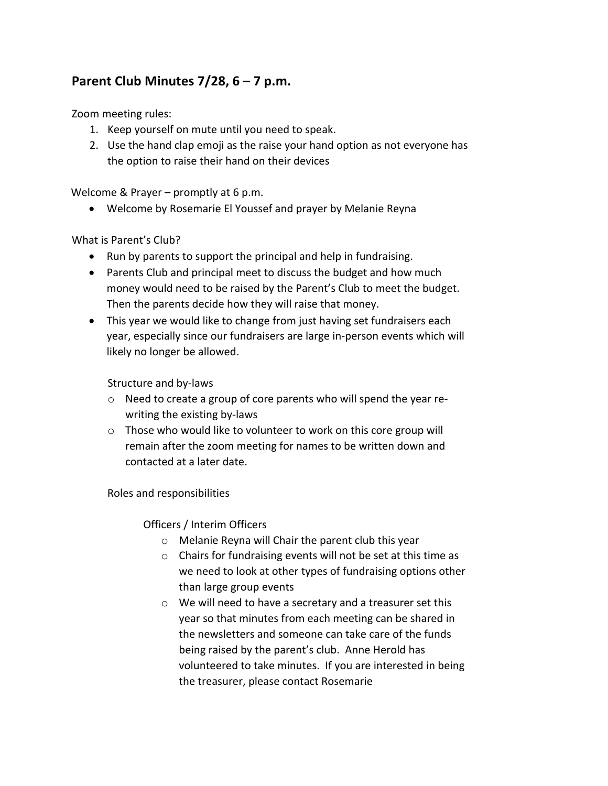# **Parent Club Minutes 7/28, 6 – 7 p.m.**

Zoom meeting rules:

- 1. Keep yourself on mute until you need to speak.
- 2. Use the hand clap emoji as the raise your hand option as not everyone has the option to raise their hand on their devices

Welcome & Prayer – promptly at 6 p.m.

• Welcome by Rosemarie El Youssef and prayer by Melanie Reyna

## What is Parent's Club?

- Run by parents to support the principal and help in fundraising.
- Parents Club and principal meet to discuss the budget and how much money would need to be raised by the Parent's Club to meet the budget. Then the parents decide how they will raise that money.
- This year we would like to change from just having set fundraisers each year, especially since our fundraisers are large in-person events which will likely no longer be allowed.

## Structure and by-laws

- o Need to create a group of core parents who will spend the year rewriting the existing by-laws
- o Those who would like to volunteer to work on this core group will remain after the zoom meeting for names to be written down and contacted at a later date.

#### Roles and responsibilities

## Officers / Interim Officers

- o Melanie Reyna will Chair the parent club this year
- o Chairs for fundraising events will not be set at this time as we need to look at other types of fundraising options other than large group events
- o We will need to have a secretary and a treasurer set this year so that minutes from each meeting can be shared in the newsletters and someone can take care of the funds being raised by the parent's club. Anne Herold has volunteered to take minutes. If you are interested in being the treasurer, please contact Rosemarie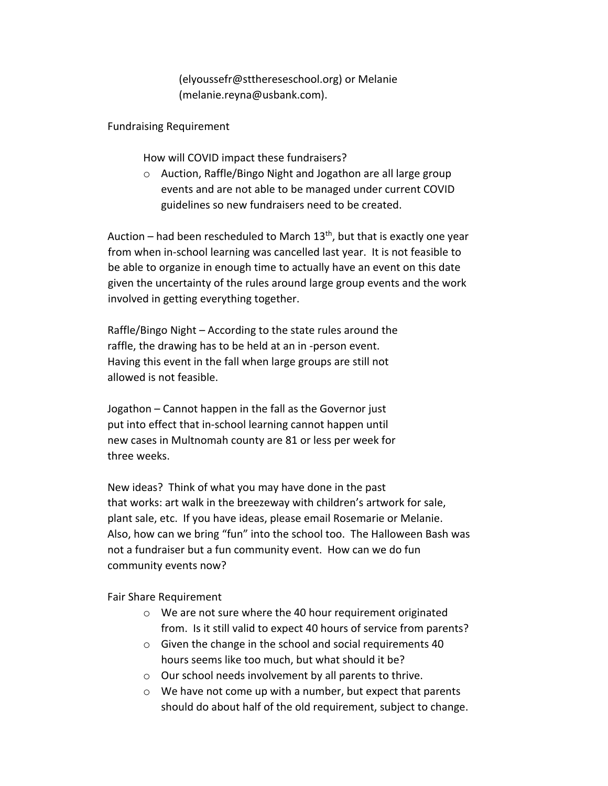(elyoussefr@stthereseschool.org) or Melanie (melanie.reyna@usbank.com).

Fundraising Requirement

How will COVID impact these fundraisers?

o Auction, Raffle/Bingo Night and Jogathon are all large group events and are not able to be managed under current COVID guidelines so new fundraisers need to be created.

Auction – had been rescheduled to March  $13<sup>th</sup>$ , but that is exactly one year from when in-school learning was cancelled last year. It is not feasible to be able to organize in enough time to actually have an event on this date given the uncertainty of the rules around large group events and the work involved in getting everything together.

Raffle/Bingo Night – According to the state rules around the raffle, the drawing has to be held at an in -person event. Having this event in the fall when large groups are still not allowed is not feasible.

Jogathon – Cannot happen in the fall as the Governor just put into effect that in-school learning cannot happen until new cases in Multnomah county are 81 or less per week for three weeks.

New ideas? Think of what you may have done in the past that works: art walk in the breezeway with children's artwork for sale, plant sale, etc. If you have ideas, please email Rosemarie or Melanie. Also, how can we bring "fun" into the school too. The Halloween Bash was not a fundraiser but a fun community event. How can we do fun community events now?

Fair Share Requirement

- o We are not sure where the 40 hour requirement originated from. Is it still valid to expect 40 hours of service from parents?
- o Given the change in the school and social requirements 40 hours seems like too much, but what should it be?
- o Our school needs involvement by all parents to thrive.
- $\circ$  We have not come up with a number, but expect that parents should do about half of the old requirement, subject to change.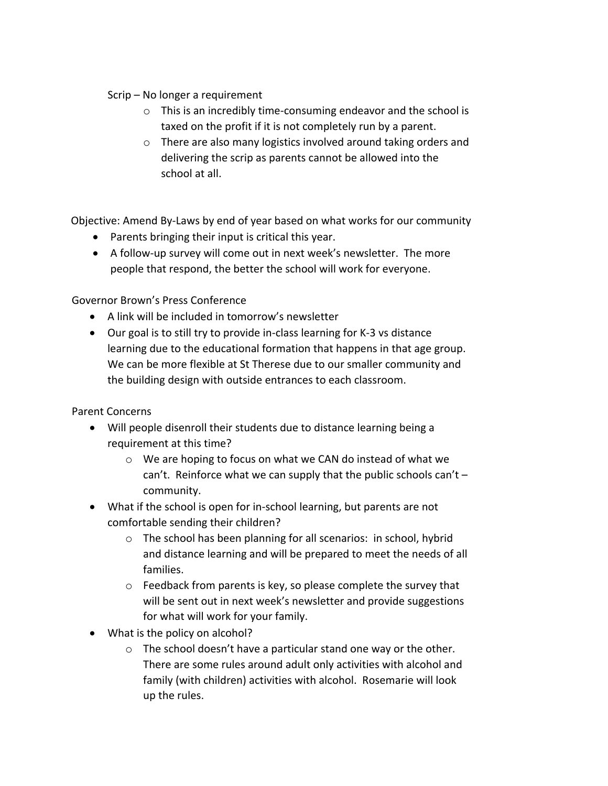# Scrip – No longer a requirement

- o This is an incredibly time-consuming endeavor and the school is taxed on the profit if it is not completely run by a parent.
- o There are also many logistics involved around taking orders and delivering the scrip as parents cannot be allowed into the school at all.

Objective: Amend By-Laws by end of year based on what works for our community

- Parents bringing their input is critical this year.
- A follow-up survey will come out in next week's newsletter. The more people that respond, the better the school will work for everyone.

Governor Brown's Press Conference

- A link will be included in tomorrow's newsletter
- Our goal is to still try to provide in-class learning for K-3 vs distance learning due to the educational formation that happens in that age group. We can be more flexible at St Therese due to our smaller community and the building design with outside entrances to each classroom.

Parent Concerns

- Will people disenroll their students due to distance learning being a requirement at this time?
	- o We are hoping to focus on what we CAN do instead of what we can't. Reinforce what we can supply that the public schools can't – community.
- What if the school is open for in-school learning, but parents are not comfortable sending their children?
	- o The school has been planning for all scenarios: in school, hybrid and distance learning and will be prepared to meet the needs of all families.
	- o Feedback from parents is key, so please complete the survey that will be sent out in next week's newsletter and provide suggestions for what will work for your family.
- What is the policy on alcohol?
	- o The school doesn't have a particular stand one way or the other. There are some rules around adult only activities with alcohol and family (with children) activities with alcohol. Rosemarie will look up the rules.